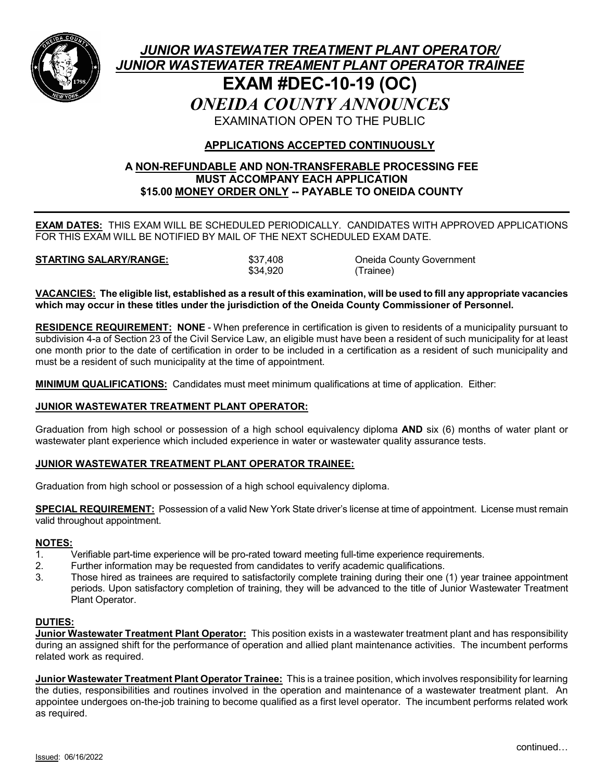

# *JUNIOR WASTEWATER TREATMENT PLANT OPERATOR/ JUNIOR WASTEWATER TREAMENT PLANT OPERATOR TRAINEE* **EXAM #DEC-10-19 (OC)** *ONEIDA COUNTY ANNOUNCES* EXAMINATION OPEN TO THE PUBLIC

## **APPLICATIONS ACCEPTED CONTINUOUSLY**

## **A NON-REFUNDABLE AND NON-TRANSFERABLE PROCESSING FEE MUST ACCOMPANY EACH APPLICATION \$15.00 MONEY ORDER ONLY -- PAYABLE TO ONEIDA COUNTY**

**EXAM DATES:** THIS EXAM WILL BE SCHEDULED PERIODICALLY. CANDIDATES WITH APPROVED APPLICATIONS FOR THIS EXAM WILL BE NOTIFIED BY MAIL OF THE NEXT SCHEDULED EXAM DATE.

**STARTING SALARY/RANGE:**  $$37,408$  Oneida County Government<br>\$34,920 (Trainee) (Trainee)

**VACANCIES: The eligible list, established as a result of this examination, will be used to fill any appropriate vacancies which may occur in these titles under the jurisdiction of the Oneida County Commissioner of Personnel.**

**RESIDENCE REQUIREMENT: NONE** - When preference in certification is given to residents of a municipality pursuant to subdivision 4-a of Section 23 of the Civil Service Law, an eligible must have been a resident of such municipality for at least one month prior to the date of certification in order to be included in a certification as a resident of such municipality and must be a resident of such municipality at the time of appointment.

**MINIMUM QUALIFICATIONS:** Candidates must meet minimum qualifications at time of application. Either:

#### **JUNIOR WASTEWATER TREATMENT PLANT OPERATOR:**

Graduation from high school or possession of a high school equivalency diploma **AND** six (6) months of water plant or wastewater plant experience which included experience in water or wastewater quality assurance tests.

#### **JUNIOR WASTEWATER TREATMENT PLANT OPERATOR TRAINEE:**

Graduation from high school or possession of a high school equivalency diploma.

**SPECIAL REQUIREMENT:** Possession of a valid New York State driver's license at time of appointment. License must remain valid throughout appointment.

#### **NOTES:**

- 1. Verifiable part-time experience will be pro-rated toward meeting full-time experience requirements.
- 2. Further information may be requested from candidates to verify academic qualifications.
- 3. Those hired as trainees are required to satisfactorily complete training during their one (1) year trainee appointment periods. Upon satisfactory completion of training, they will be advanced to the title of Junior Wastewater Treatment Plant Operator.

#### **DUTIES:**

**Junior Wastewater Treatment Plant Operator:** This position exists in a wastewater treatment plant and has responsibility during an assigned shift for the performance of operation and allied plant maintenance activities. The incumbent performs related work as required.

**Junior Wastewater Treatment Plant Operator Trainee:** This is a trainee position, which involves responsibility for learning the duties, responsibilities and routines involved in the operation and maintenance of a wastewater treatment plant. An appointee undergoes on-the-job training to become qualified as a first level operator. The incumbent performs related work as required.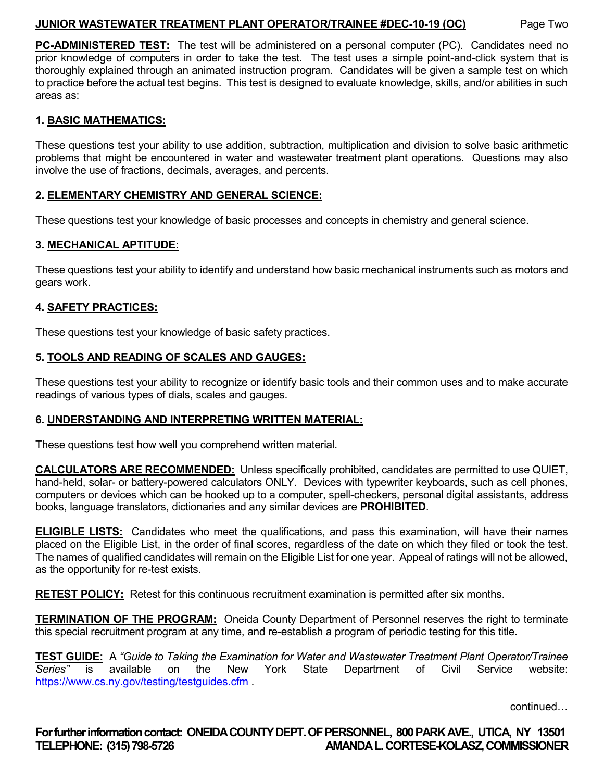## **JUNIOR WASTEWATER TREATMENT PLANT OPERATOR/TRAINEE #DEC-10-19 (OC)** Page Two

**PC-ADMINISTERED TEST:** The test will be administered on a personal computer (PC). Candidates need no prior knowledge of computers in order to take the test. The test uses a simple point-and-click system that is thoroughly explained through an animated instruction program. Candidates will be given a sample test on which to practice before the actual test begins. This test is designed to evaluate knowledge, skills, and/or abilities in such areas as:

## **1. BASIC MATHEMATICS:**

These questions test your ability to use addition, subtraction, multiplication and division to solve basic arithmetic problems that might be encountered in water and wastewater treatment plant operations. Questions may also involve the use of fractions, decimals, averages, and percents.

## **2. ELEMENTARY CHEMISTRY AND GENERAL SCIENCE:**

These questions test your knowledge of basic processes and concepts in chemistry and general science.

#### **3. MECHANICAL APTITUDE:**

These questions test your ability to identify and understand how basic mechanical instruments such as motors and gears work.

#### **4. SAFETY PRACTICES:**

These questions test your knowledge of basic safety practices.

## **5. TOOLS AND READING OF SCALES AND GAUGES:**

These questions test your ability to recognize or identify basic tools and their common uses and to make accurate readings of various types of dials, scales and gauges.

## **6. UNDERSTANDING AND INTERPRETING WRITTEN MATERIAL:**

These questions test how well you comprehend written material.

**CALCULATORS ARE RECOMMENDED:** Unless specifically prohibited, candidates are permitted to use QUIET, hand-held, solar- or battery-powered calculators ONLY. Devices with typewriter keyboards, such as cell phones, computers or devices which can be hooked up to a computer, spell-checkers, personal digital assistants, address books, language translators, dictionaries and any similar devices are **PROHIBITED**.

**ELIGIBLE LISTS:** Candidates who meet the qualifications, and pass this examination, will have their names placed on the Eligible List, in the order of final scores, regardless of the date on which they filed or took the test. The names of qualified candidates will remain on the Eligible List for one year. Appeal of ratings will not be allowed, as the opportunity for re-test exists.

**RETEST POLICY:** Retest for this continuous recruitment examination is permitted after six months.

**TERMINATION OF THE PROGRAM:** Oneida County Department of Personnel reserves the right to terminate this special recruitment program at any time, and re-establish a program of periodic testing for this title.

**TEST GUIDE:** A *"Guide to Taking the Examination for Water and Wastewater Treatment Plant Operator/Trainee Series"* is available on the New York State Department of Civil Service website: <https://www.cs.ny.gov/testing/testguides.cfm> .

continued…

**For further information contact: ONEIDA COUNTY DEPT. OF PERSONNEL, 800 PARK AVE., UTICA, NY 13501 TELEPHONE: (315) 798-5726 AMANDAL. CORTESE-KOLASZ, COMMISSIONER**